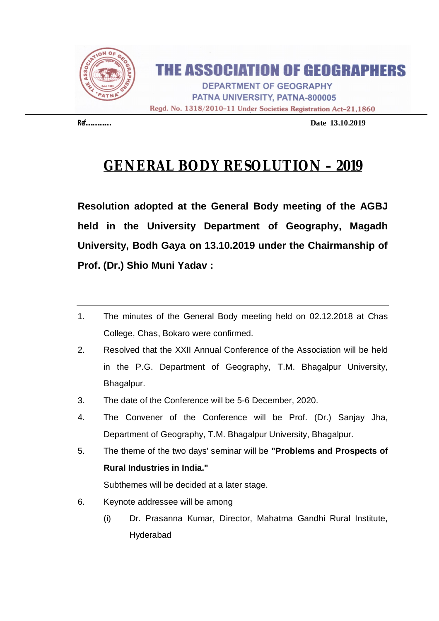

## **THE ASSOCIATION OF GEOGRAPHERS**

**DEPARTMENT OF GEOGRAPHY** PATNA UNIVERSITY, PATNA-800005 Regd. No. 1318/2010-11 Under Societies Registration Act-21,1860

**Ref………………… Date 13.10.2019**

# **GENERAL BODY RESOLUTION – 2019**

**Resolution adopted at the General Body meeting of the AGBJ held in the University Department of Geography, Magadh University, Bodh Gaya on 13.10.2019 under the Chairmanship of Prof. (Dr.) Shio Muni Yadav :**

- 1. The minutes of the General Body meeting held on 02.12.2018 at Chas College, Chas, Bokaro were confirmed.
- 2. Resolved that the XXII Annual Conference of the Association will be held in the P.G. Department of Geography, T.M. Bhagalpur University, Bhagalpur.
- 3. The date of the Conference will be 5-6 December, 2020.
- 4. The Convener of the Conference will be Prof. (Dr.) Sanjay Jha, Department of Geography, T.M. Bhagalpur University, Bhagalpur.
- 5. The theme of the two days' seminar will be **"Problems and Prospects of Rural Industries in India."** Subthemes will be decided at a later stage.
- 6. Keynote addressee will be among
	- (i) Dr. Prasanna Kumar, Director, Mahatma Gandhi Rural Institute, Hyderabad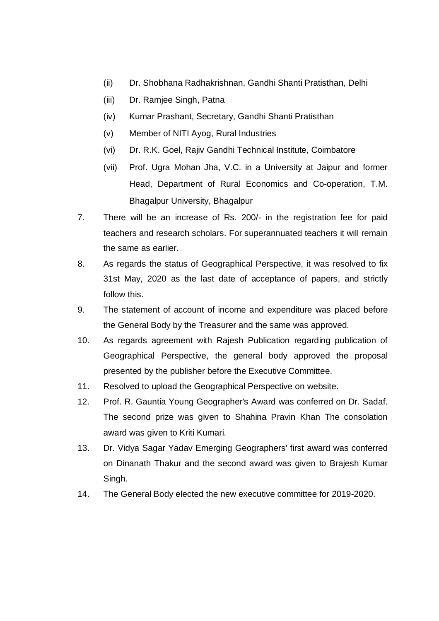- (ii) Dr. Shobhana Radhakrishnan, Gandhi Shanti Pratisthan, Delhi
- (iii) Dr. Ramjee Singh, Patna
- (iv) Kumar Prashant, Secretary, Gandhi Shanti Pratisthan
- (v) Member of NITI Ayog, Rural Industries
- (vi) Dr. R.K. Goel, Rajiv Gandhi Technical Institute, Coimbatore
- (vii) Prof. Ugra Mohan Jha, V.C. in a University at Jaipur and former Head, Department of Rural Economics and Co-operation, T.M. Bhagalpur University, Bhagalpur
- 7. There will be an increase of Rs. 200/- in the registration fee for paid teachers and research scholars. For superannuated teachers it will remain the same as earlier.
- 8. As regards the status of Geographical Perspective, it was resolved to fix 31st May, 2020 as the last date of acceptance of papers, and strictly follow this.
- 9. The statement of account of income and expenditure was placed before the General Body by the Treasurer and the same was approved.
- 10. As regards agreement with Rajesh Publication regarding publication of Geographical Perspective, the general body approved the proposal presented by the publisher before the Executive Committee.
- 11. Resolved to upload the Geographical Perspective on website.
- 12. Prof. R. Gauntia Young Geographer's Award was conferred on Dr. Sadaf. The second prize was given to Shahina Pravin Khan The consolation award was given to Kriti Kumari.
- 13. Dr. Vidya Sagar Yadav Emerging Geographers' first award was conferred on Dinanath Thakur and the second award was given to Brajesh Kumar Singh.
- 14. The General Body elected the new executive committee for 2019-2020.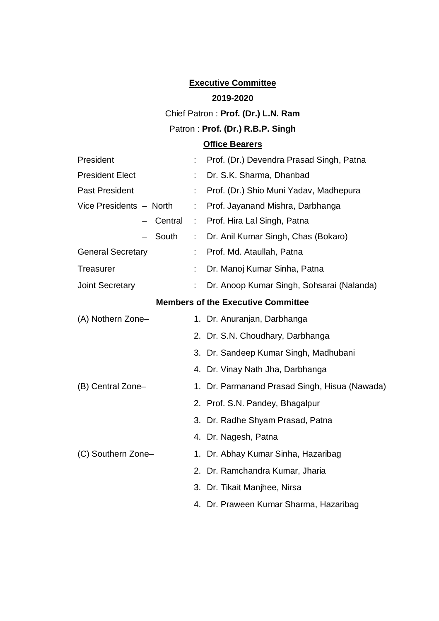### **Executive Committee**

#### **2019-2020**

### Chief Patron : **Prof. (Dr.) L.N. Ram**

### Patron : **Prof. (Dr.) R.B.P. Singh**

### **Office Bearers**

| President                                 | Prof. (Dr.) Devendra Prasad Singh, Patna      |  |  |  |
|-------------------------------------------|-----------------------------------------------|--|--|--|
| <b>President Elect</b>                    | Dr. S.K. Sharma, Dhanbad                      |  |  |  |
| <b>Past President</b>                     | Prof. (Dr.) Shio Muni Yadav, Madhepura        |  |  |  |
| Vice Presidents - North                   | Prof. Jayanand Mishra, Darbhanga<br>÷         |  |  |  |
| Central                                   | Prof. Hira Lal Singh, Patna<br>$\sim 10$      |  |  |  |
| South                                     | Dr. Anil Kumar Singh, Chas (Bokaro)<br>÷.     |  |  |  |
| <b>General Secretary</b>                  | Prof. Md. Ataullah, Patna<br>t.               |  |  |  |
| <b>Treasurer</b>                          | Dr. Manoj Kumar Sinha, Patna                  |  |  |  |
| <b>Joint Secretary</b>                    | Dr. Anoop Kumar Singh, Sohsarai (Nalanda)     |  |  |  |
| <b>Members of the Executive Committee</b> |                                               |  |  |  |
| (A) Nothern Zone-                         | 1. Dr. Anuranjan, Darbhanga                   |  |  |  |
|                                           | 2. Dr. S.N. Choudhary, Darbhanga              |  |  |  |
|                                           | 3. Dr. Sandeep Kumar Singh, Madhubani         |  |  |  |
|                                           | 4. Dr. Vinay Nath Jha, Darbhanga              |  |  |  |
| (B) Central Zone-                         | 1. Dr. Parmanand Prasad Singh, Hisua (Nawada) |  |  |  |
|                                           | 2. Prof. S.N. Pandey, Bhagalpur               |  |  |  |
|                                           | 3. Dr. Radhe Shyam Prasad, Patna              |  |  |  |
|                                           | 4. Dr. Nagesh, Patna                          |  |  |  |
| (C) Southern Zone-                        | 1. Dr. Abhay Kumar Sinha, Hazaribag           |  |  |  |
|                                           | 2. Dr. Ramchandra Kumar, Jharia               |  |  |  |
|                                           | 3. Dr. Tikait Manjhee, Nirsa                  |  |  |  |
|                                           | 4. Dr. Praween Kumar Sharma, Hazaribag        |  |  |  |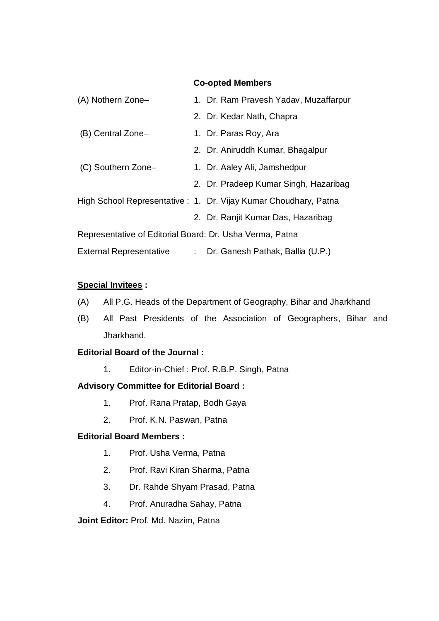#### **Co-opted Members**

| (A) Nothern Zone-                                        |  | 1. Dr. Ram Pravesh Yadav, Muzaffarpur                           |
|----------------------------------------------------------|--|-----------------------------------------------------------------|
|                                                          |  | 2. Dr. Kedar Nath, Chapra                                       |
| (B) Central Zone-                                        |  | 1. Dr. Paras Roy, Ara                                           |
|                                                          |  | 2. Dr. Aniruddh Kumar, Bhagalpur                                |
| (C) Southern Zone-                                       |  | 1. Dr. Aaley Ali, Jamshedpur                                    |
|                                                          |  | 2. Dr. Pradeep Kumar Singh, Hazaribag                           |
|                                                          |  | High School Representative: 1. Dr. Vijay Kumar Choudhary, Patna |
|                                                          |  | 2. Dr. Ranjit Kumar Das, Hazaribag                              |
| Representative of Editorial Board: Dr. Usha Verma, Patna |  |                                                                 |
| <b>External Representative</b>                           |  | : Dr. Ganesh Pathak, Ballia (U.P.)                              |

#### **Special Invitees :**

- (A) All P.G. Heads of the Department of Geography, Bihar and Jharkhand
- (B) All Past Presidents of the Association of Geographers, Bihar and Jharkhand.

### **Editorial Board of the Journal :**

1. Editor-in-Chief : Prof. R.B.P. Singh, Patna

### **Advisory Committee for Editorial Board :**

- 1. Prof. Rana Pratap, Bodh Gaya
- 2. Prof. K.N. Paswan, Patna

#### **Editorial Board Members :**

- 1. Prof. Usha Verma, Patna
- 2. Prof. Ravi Kiran Sharma, Patna
- 3. Dr. Rahde Shyam Prasad, Patna
- 4. Prof. Anuradha Sahay, Patna

**Joint Editor:** Prof. Md. Nazim, Patna